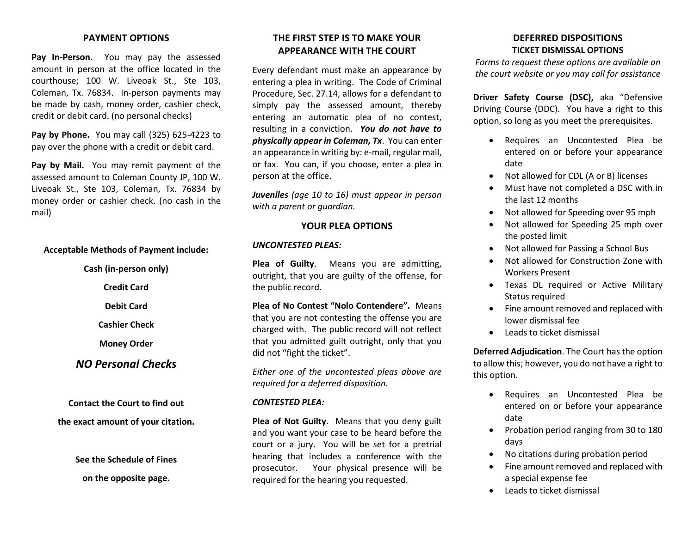#### **PAYMENT OPTIONS**

**Pay In-Person.** You may pay the assessed amount in person at the office located in the courthouse; 100 W. Liveoak St., Ste 103, Coleman, Tx. 76834. In-person payments may be made by cash, money order, cashier check, credit or debit card. (no personal checks)

**Pay by Phone.** You may call (325) 625-4223 to pay over the phone with a credit or debit card.

**Pay by Mail.** You may remit payment of the assessed amount to Coleman County JP, 100 W. Liveoak St., Ste 103, Coleman, Tx. 76834 by money order or cashier check. (no cash in the mail)

#### **Acceptable Methods of Payment include:**

**Cash (in-person only) Credit Card Debit Card Cashier Check**

**Money Order**

*NO Personal Checks*

**Contact the Court to find out the exact amount of your citation.**

> **See the Schedule of Fines on the opposite page.**

## **THE FIRST STEP IS TO MAKE YOUR APPEARANCE WITH THE COURT**

Every defendant must make an appearance by entering a plea in writing. The Code of Criminal Procedure, Sec. 27.14, allows for a defendant to simply pay the assessed amount, thereby entering an automatic plea of no contest, resulting in a conviction. *You do not have to physically appear in Coleman, Tx*. You can enter an appearance in writing by: e-mail, regular mail, or fax. You can, if you choose, enter a plea in person at the office.

*Juveniles (age 10 to 16) must appear in person with a parent or guardian.*

#### **YOUR PLEA OPTIONS**

#### *UNCONTESTED PLEAS:*

**Plea of Guilty**. Means you are admitting, outright, that you are guilty of the offense, for the public record.

**Plea of No Contest "Nolo Contendere".** Means that you are not contesting the offense you are charged with. The public record will not reflect that you admitted guilt outright, only that you did not "fight the ticket".

*Either one of the uncontested pleas above are required for a deferred disposition.*

#### *CONTESTED PLEA:*

**Plea of Not Guilty.** Means that you deny guilt and you want your case to be heard before the court or a jury. You will be set for a pretrial hearing that includes a conference with the prosecutor. Your physical presence will be required for the hearing you requested.

### **DEFERRED DISPOSITIONS TICKET DISMISSAL OPTIONS**

*Forms to request these options are available on the court website or you may call for assistance*

**Driver Safety Course (DSC),** aka "Defensive Driving Course (DDC). You have a right to this option, so long as you meet the prerequisites.

- Requires an Uncontested Plea be entered on or before your appearance date
- Not allowed for CDL (A or B) licenses
- Must have not completed a DSC with in the last 12 months
- Not allowed for Speeding over 95 mph
- Not allowed for Speeding 25 mph over the posted limit
- Not allowed for Passing a School Bus
- Not allowed for Construction Zone with Workers Present
- Texas DL required or Active Military Status required
- Fine amount removed and replaced with lower dismissal fee
- Leads to ticket dismissal

**Deferred Adjudication**. The Court has the option to allow this; however, you do not have a right to this option.

- Requires an Uncontested Plea be entered on or before your appearance date
- Probation period ranging from 30 to 180 days
- No citations during probation period
- Fine amount removed and replaced with a special expense fee
- Leads to ticket dismissal